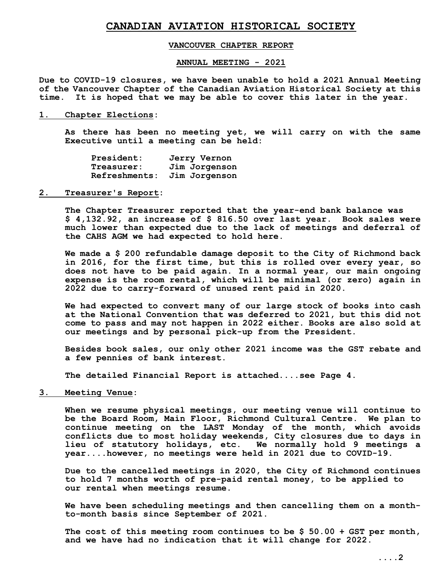# **CANADIAN AVIATION HISTORICAL SOCIETY**

## **VANCOUVER CHAPTER REPORT**

#### **ANNUAL MEETING - 2021**

**Due to COVID-19 closures, we have been unable to hold a 2021 Annual Meeting of the Vancouver Chapter of the Canadian Aviation Historical Society at this time. It is hoped that we may be able to cover this later in the year.**

**1. Chapter Elections:**

**As there has been no meeting yet, we will carry on with the same Executive until a meeting can be held:**

| President:    | Jerry Vernon  |
|---------------|---------------|
| Treasurer:    | Jim Jorgenson |
| Refreshments: | Jim Jorgenson |

**2. Treasurer's Report:**

**The Chapter Treasurer reported that the year-end bank balance was \$ 4,132.92, an increase of \$ 816.50 over last year. Book sales were much lower than expected due to the lack of meetings and deferral of the CAHS AGM we had expected to hold here.** 

**We made a \$ 200 refundable damage deposit to the City of Richmond back in 2016, for the first time, but this is rolled over every year, so does not have to be paid again. In a normal year, our main ongoing expense is the room rental, which will be minimal (or zero) again in 2022 due to carry-forward of unused rent paid in 2020.**

**We had expected to convert many of our large stock of books into cash at the National Convention that was deferred to 2021, but this did not come to pass and may not happen in 2022 either. Books are also sold at our meetings and by personal pick-up from the President.**

**Besides book sales, our only other 2021 income was the GST rebate and a few pennies of bank interest.**

**The detailed Financial Report is attached....see Page 4.**

**3. Meeting Venue:**

 **When we resume physical meetings, our meeting venue will continue to be the Board Room, Main Floor, Richmond Cultural Centre. We plan to continue meeting on the LAST Monday of the month, which avoids conflicts due to most holiday weekends, City closures due to days in lieu of statutory holidays, etc. We normally hold 9 meetings a year....however, no meetings were held in 2021 due to COVID-19.**

**Due to the cancelled meetings in 2020, the City of Richmond continues to hold 7 months worth of pre-paid rental money, to be applied to our rental when meetings resume.**

**We have been scheduling meetings and then cancelling them on a monthto-month basis since September of 2021.**

**The cost of this meeting room continues to be \$ 50.00 + GST per month, and we have had no indication that it will change for 2022.**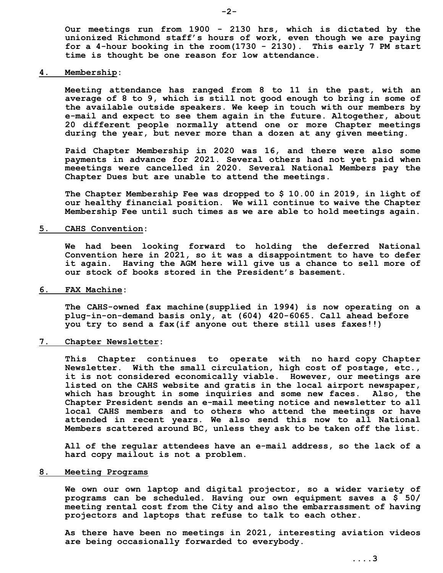**Our meetings run from 1900 - 2130 hrs, which is dictated by the unionized Richmond staff's hours of work, even though we are paying for a 4-hour booking in the room(1730 - 2130). This early 7 PM start time is thought be one reason for low attendance.**

### **4. Membership:**

**Meeting attendance has ranged from 8 to 11 in the past, with an average of 8 to 9, which is still not good enough to bring in some of the available outside speakers. We keep in touch with our members by e-mail and expect to see them again in the future. Altogether, about 20 different people normally attend one or more Chapter meetings during the year, but never more than a dozen at any given meeting.**

**Paid Chapter Membership in 2020 was 16, and there were also some payments in advance for 2021. Several others had not yet paid when meeetings were cancelled in 2020. Several National Members pay the Chapter Dues but are unable to attend the meetings.**

**The Chapter Membership Fee was dropped to \$ 10.00 in 2019, in light of our healthy financial position. We will continue to waive the Chapter Membership Fee until such times as we are able to hold meetings again.**

#### **5. CAHS Convention:**

**We had been looking forward to holding the deferred National Convention here in 2021, so it was a disappointment to have to defer it again. Having the AGM here will give us a chance to sell more of our stock of books stored in the President's basement.** 

#### **6. FAX Machine:**

**The CAHS-owned fax machine(supplied in 1994) is now operating on a plug-in-on-demand basis only, at (604) 420-6065. Call ahead before you try to send a fax(if anyone out there still uses faxes!!)**

**7. Chapter Newsletter:**

 **This Chapter continues to operate with no hard copy Chapter Newsletter. With the small circulation, high cost of postage, etc., it is not considered economically viable. However, our meetings are listed on the CAHS website and gratis in the local airport newspaper, which has brought in some inquiries and some new faces. Also, the Chapter President sends an e-mail meeting notice and newsletter to all local CAHS members and to others who attend the meetings or have attended in recent years. We also send this now to all National Members scattered around BC, unless they ask to be taken off the list.** 

**All of the regular attendees have an e-mail address, so the lack of a hard copy mailout is not a problem.**

#### **8. Meeting Programs**

**We own our own laptop and digital projector, so a wider variety of programs can be scheduled. Having our own equipment saves a \$ 50/ meeting rental cost from the City and also the embarrassment of having projectors and laptops that refuse to talk to each other.**

**As there have been no meetings in 2021, interesting aviation videos are being occasionally forwarded to everybody.**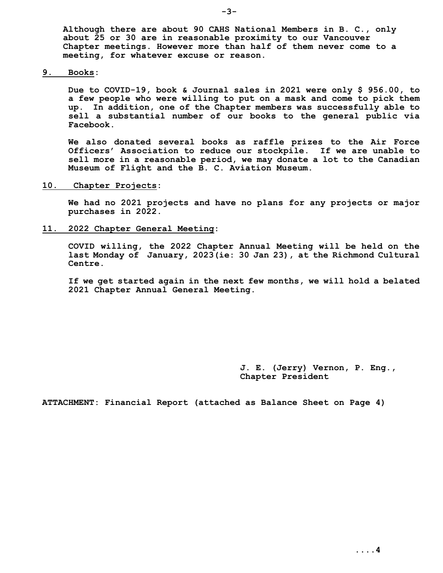**Although there are about 90 CAHS National Members in B. C., only about 25 or 30 are in reasonable proximity to our Vancouver Chapter meetings. However more than half of them never come to a meeting, for whatever excuse or reason.**

**9. Books:**

**Due to COVID-19, book & Journal sales in 2021 were only \$ 956.00, to a few people who were willing to put on a mask and come to pick them up. In addition, one of the Chapter members was successfully able to sell a substantial number of our books to the general public via Facebook.**

**We also donated several books as raffle prizes to the Air Force Officers' Association to reduce our stockpile. If we are unable to sell more in a reasonable period, we may donate a lot to the Canadian Museum of Flight and the B. C. Aviation Museum.**

**10. Chapter Projects:**

**We had no 2021 projects and have no plans for any projects or major purchases in 2022.**

**11. 2022 Chapter General Meeting:**

 **COVID willing, the 2022 Chapter Annual Meeting will be held on the last Monday of January, 2023(ie: 30 Jan 23), at the Richmond Cultural Centre.**

**If we get started again in the next few months, we will hold a belated 2021 Chapter Annual General Meeting.**

> **J. E. (Jerry) Vernon, P. Eng., Chapter President**

**ATTACHMENT: Financial Report (attached as Balance Sheet on Page 4)**